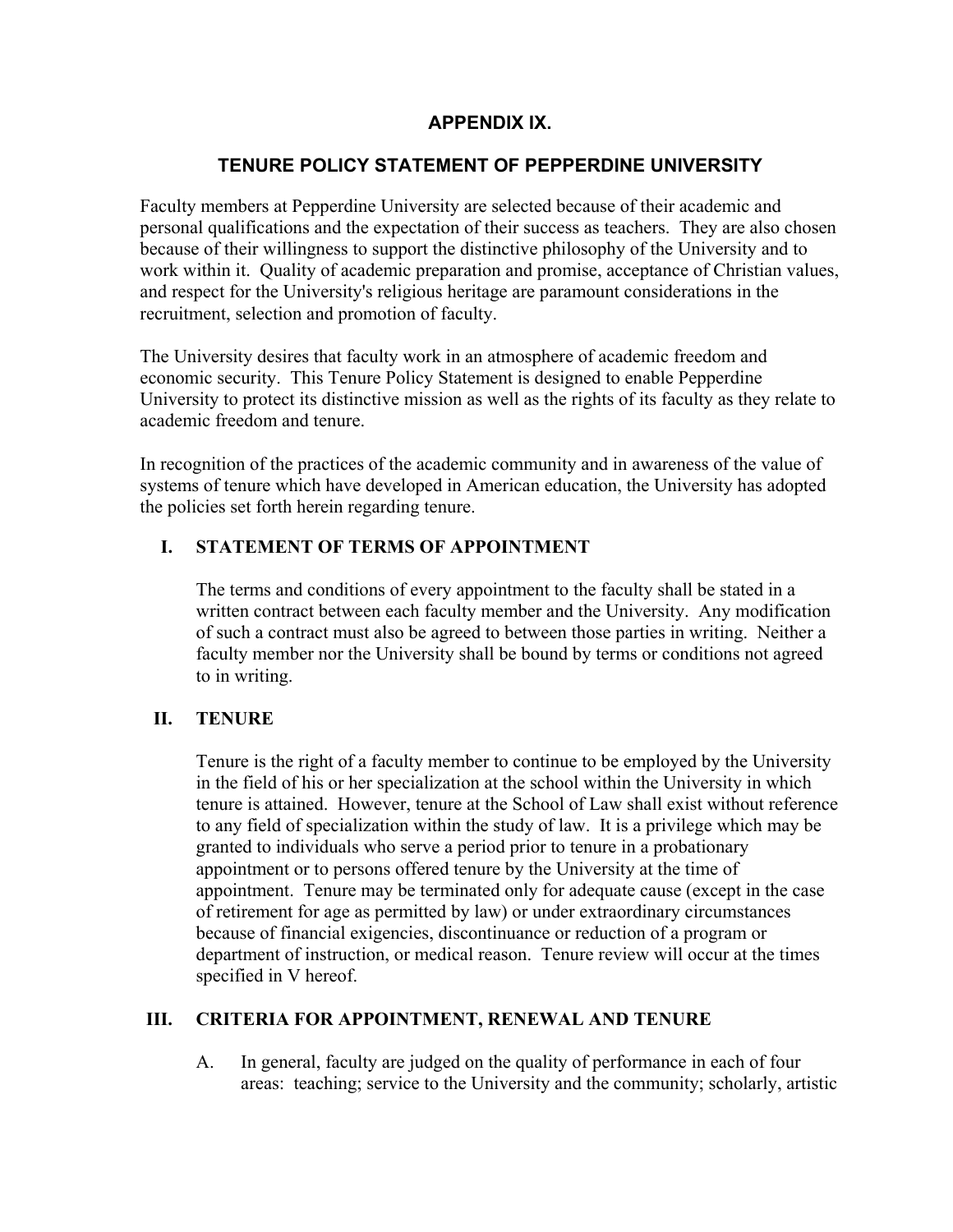# **APPENDIX IX.**

# **TENURE POLICY STATEMENT OF PEPPERDINE UNIVERSITY**

Faculty members at Pepperdine University are selected because of their academic and personal qualifications and the expectation of their success as teachers. They are also chosen because of their willingness to support the distinctive philosophy of the University and to work within it. Quality of academic preparation and promise, acceptance of Christian values, and respect for the University's religious heritage are paramount considerations in the recruitment, selection and promotion of faculty.

The University desires that faculty work in an atmosphere of academic freedom and economic security. This Tenure Policy Statement is designed to enable Pepperdine University to protect its distinctive mission as well as the rights of its faculty as they relate to academic freedom and tenure.

In recognition of the practices of the academic community and in awareness of the value of systems of tenure which have developed in American education, the University has adopted the policies set forth herein regarding tenure.

### **I. STATEMENT OF TERMS OF APPOINTMENT**

The terms and conditions of every appointment to the faculty shall be stated in a written contract between each faculty member and the University. Any modification of such a contract must also be agreed to between those parties in writing. Neither a faculty member nor the University shall be bound by terms or conditions not agreed to in writing.

# **II. TENURE**

Tenure is the right of a faculty member to continue to be employed by the University in the field of his or her specialization at the school within the University in which tenure is attained. However, tenure at the School of Law shall exist without reference to any field of specialization within the study of law. It is a privilege which may be granted to individuals who serve a period prior to tenure in a probationary appointment or to persons offered tenure by the University at the time of appointment. Tenure may be terminated only for adequate cause (except in the case of retirement for age as permitted by law) or under extraordinary circumstances because of financial exigencies, discontinuance or reduction of a program or department of instruction, or medical reason. Tenure review will occur at the times specified in V hereof.

### **III. CRITERIA FOR APPOINTMENT, RENEWAL AND TENURE**

A. In general, faculty are judged on the quality of performance in each of four areas: teaching; service to the University and the community; scholarly, artistic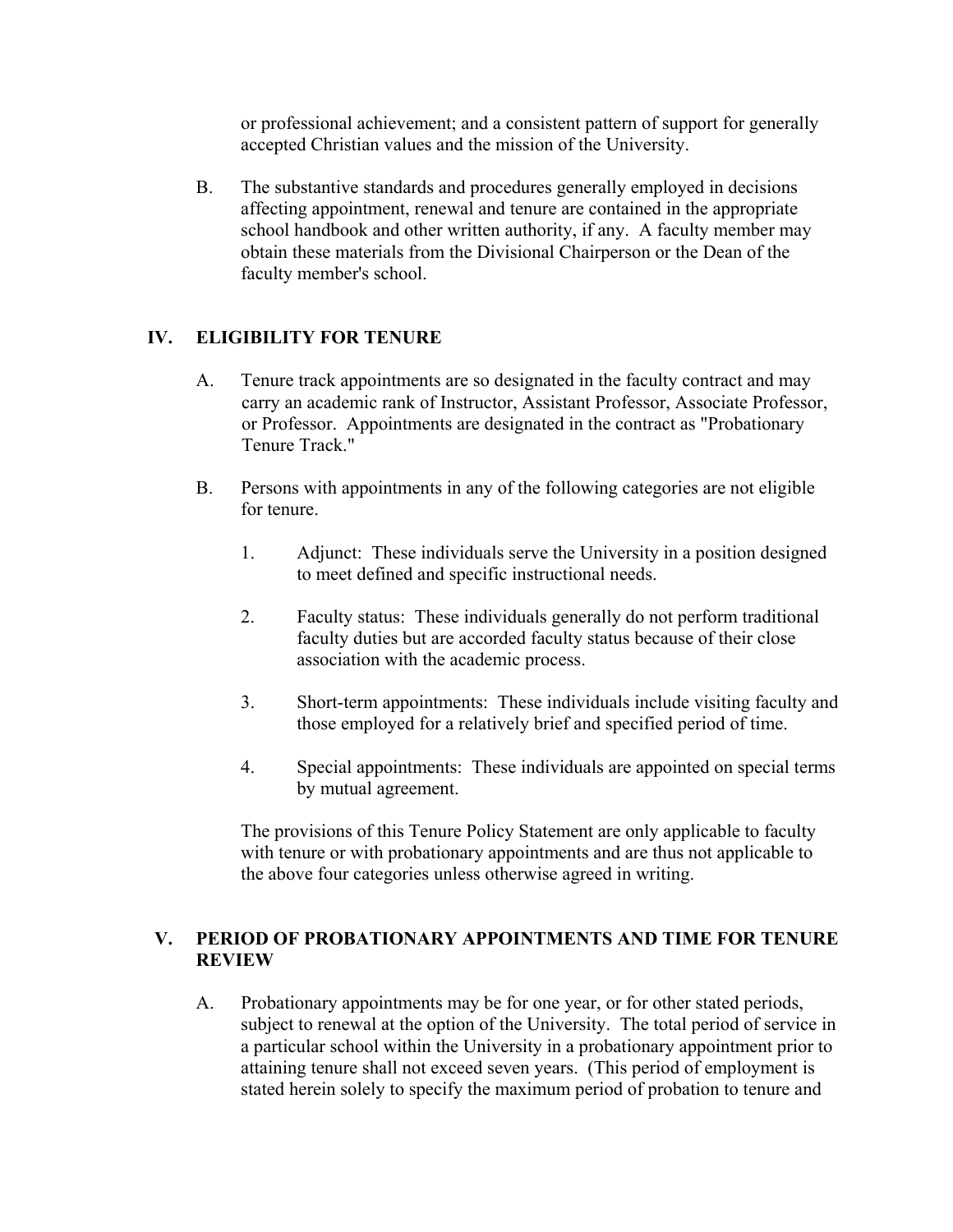or professional achievement; and a consistent pattern of support for generally accepted Christian values and the mission of the University.

B. The substantive standards and procedures generally employed in decisions affecting appointment, renewal and tenure are contained in the appropriate school handbook and other written authority, if any. A faculty member may obtain these materials from the Divisional Chairperson or the Dean of the faculty member's school.

# **IV. ELIGIBILITY FOR TENURE**

- A. Tenure track appointments are so designated in the faculty contract and may carry an academic rank of Instructor, Assistant Professor, Associate Professor, or Professor. Appointments are designated in the contract as "Probationary Tenure Track."
- B. Persons with appointments in any of the following categories are not eligible for tenure.
	- 1. Adjunct: These individuals serve the University in a position designed to meet defined and specific instructional needs.
	- 2. Faculty status: These individuals generally do not perform traditional faculty duties but are accorded faculty status because of their close association with the academic process.
	- 3. Short-term appointments: These individuals include visiting faculty and those employed for a relatively brief and specified period of time.
	- 4. Special appointments: These individuals are appointed on special terms by mutual agreement.

The provisions of this Tenure Policy Statement are only applicable to faculty with tenure or with probationary appointments and are thus not applicable to the above four categories unless otherwise agreed in writing.

### **V. PERIOD OF PROBATIONARY APPOINTMENTS AND TIME FOR TENURE REVIEW**

A. Probationary appointments may be for one year, or for other stated periods, subject to renewal at the option of the University. The total period of service in a particular school within the University in a probationary appointment prior to attaining tenure shall not exceed seven years. (This period of employment is stated herein solely to specify the maximum period of probation to tenure and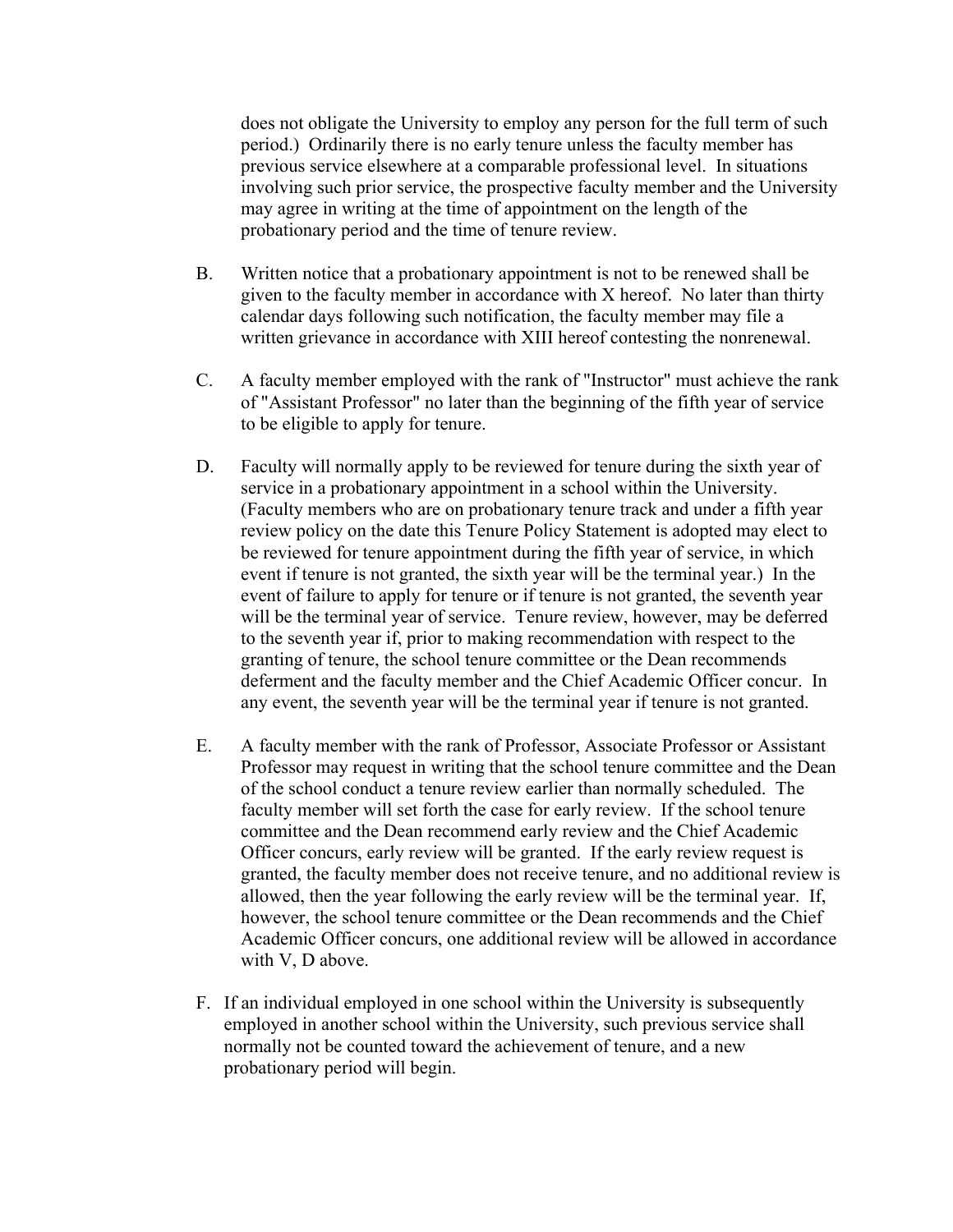does not obligate the University to employ any person for the full term of such period.) Ordinarily there is no early tenure unless the faculty member has previous service elsewhere at a comparable professional level. In situations involving such prior service, the prospective faculty member and the University may agree in writing at the time of appointment on the length of the probationary period and the time of tenure review.

- B. Written notice that a probationary appointment is not to be renewed shall be given to the faculty member in accordance with X hereof. No later than thirty calendar days following such notification, the faculty member may file a written grievance in accordance with XIII hereof contesting the nonrenewal.
- C. A faculty member employed with the rank of "Instructor" must achieve the rank of "Assistant Professor" no later than the beginning of the fifth year of service to be eligible to apply for tenure.
- D. Faculty will normally apply to be reviewed for tenure during the sixth year of service in a probationary appointment in a school within the University. (Faculty members who are on probationary tenure track and under a fifth year review policy on the date this Tenure Policy Statement is adopted may elect to be reviewed for tenure appointment during the fifth year of service, in which event if tenure is not granted, the sixth year will be the terminal year.) In the event of failure to apply for tenure or if tenure is not granted, the seventh year will be the terminal year of service. Tenure review, however, may be deferred to the seventh year if, prior to making recommendation with respect to the granting of tenure, the school tenure committee or the Dean recommends deferment and the faculty member and the Chief Academic Officer concur. In any event, the seventh year will be the terminal year if tenure is not granted.
- E. A faculty member with the rank of Professor, Associate Professor or Assistant Professor may request in writing that the school tenure committee and the Dean of the school conduct a tenure review earlier than normally scheduled. The faculty member will set forth the case for early review. If the school tenure committee and the Dean recommend early review and the Chief Academic Officer concurs, early review will be granted. If the early review request is granted, the faculty member does not receive tenure, and no additional review is allowed, then the year following the early review will be the terminal year. If, however, the school tenure committee or the Dean recommends and the Chief Academic Officer concurs, one additional review will be allowed in accordance with V, D above.
- F. If an individual employed in one school within the University is subsequently employed in another school within the University, such previous service shall normally not be counted toward the achievement of tenure, and a new probationary period will begin.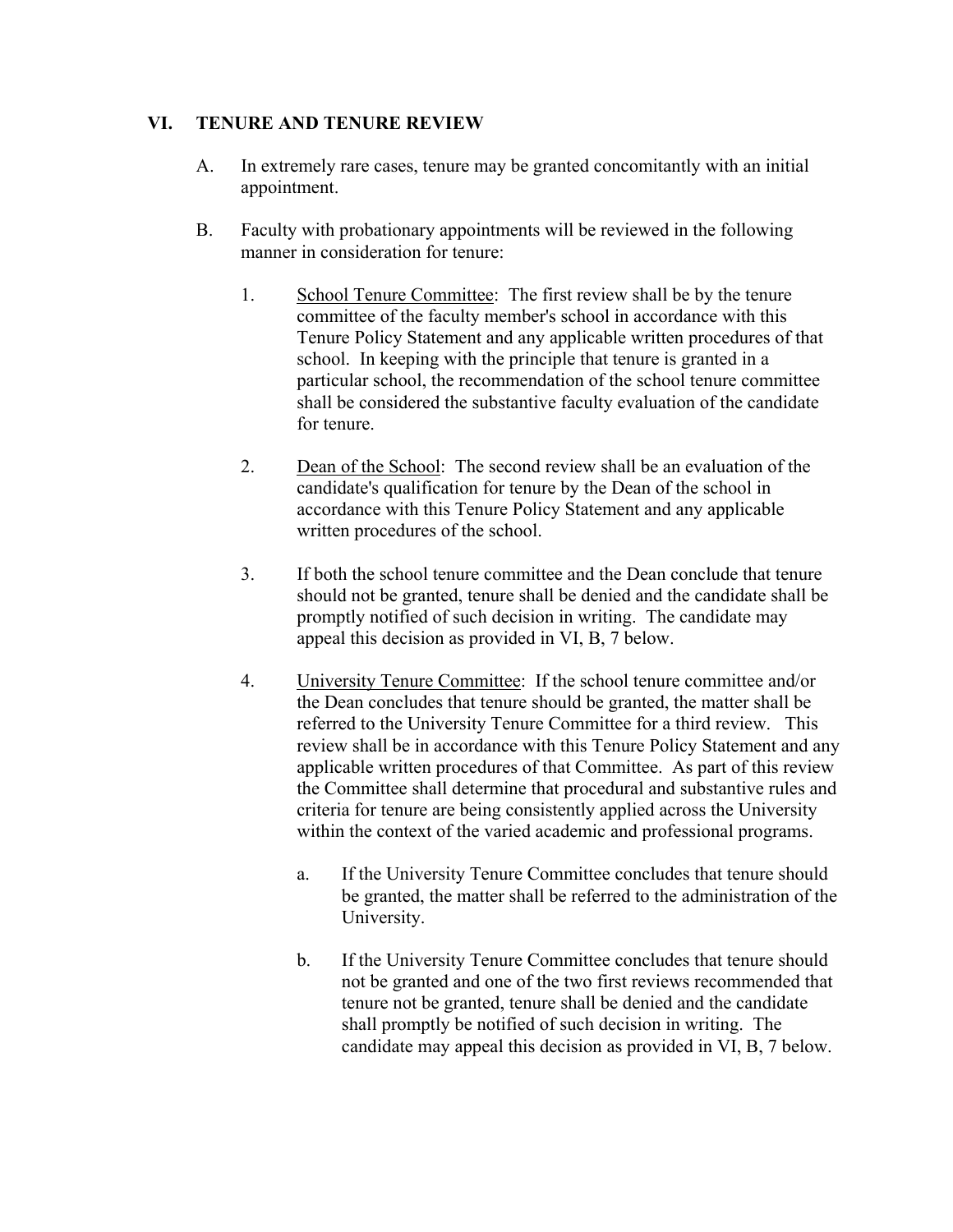### **VI. TENURE AND TENURE REVIEW**

- A. In extremely rare cases, tenure may be granted concomitantly with an initial appointment.
- B. Faculty with probationary appointments will be reviewed in the following manner in consideration for tenure<sup>.</sup>
	- 1. School Tenure Committee: The first review shall be by the tenure committee of the faculty member's school in accordance with this Tenure Policy Statement and any applicable written procedures of that school. In keeping with the principle that tenure is granted in a particular school, the recommendation of the school tenure committee shall be considered the substantive faculty evaluation of the candidate for tenure.
	- 2. Dean of the School: The second review shall be an evaluation of the candidate's qualification for tenure by the Dean of the school in accordance with this Tenure Policy Statement and any applicable written procedures of the school.
	- 3. If both the school tenure committee and the Dean conclude that tenure should not be granted, tenure shall be denied and the candidate shall be promptly notified of such decision in writing. The candidate may appeal this decision as provided in VI, B, 7 below.
	- 4. University Tenure Committee: If the school tenure committee and/or the Dean concludes that tenure should be granted, the matter shall be referred to the University Tenure Committee for a third review. This review shall be in accordance with this Tenure Policy Statement and any applicable written procedures of that Committee. As part of this review the Committee shall determine that procedural and substantive rules and criteria for tenure are being consistently applied across the University within the context of the varied academic and professional programs.
		- a. If the University Tenure Committee concludes that tenure should be granted, the matter shall be referred to the administration of the University.
		- b. If the University Tenure Committee concludes that tenure should not be granted and one of the two first reviews recommended that tenure not be granted, tenure shall be denied and the candidate shall promptly be notified of such decision in writing. The candidate may appeal this decision as provided in VI, B, 7 below.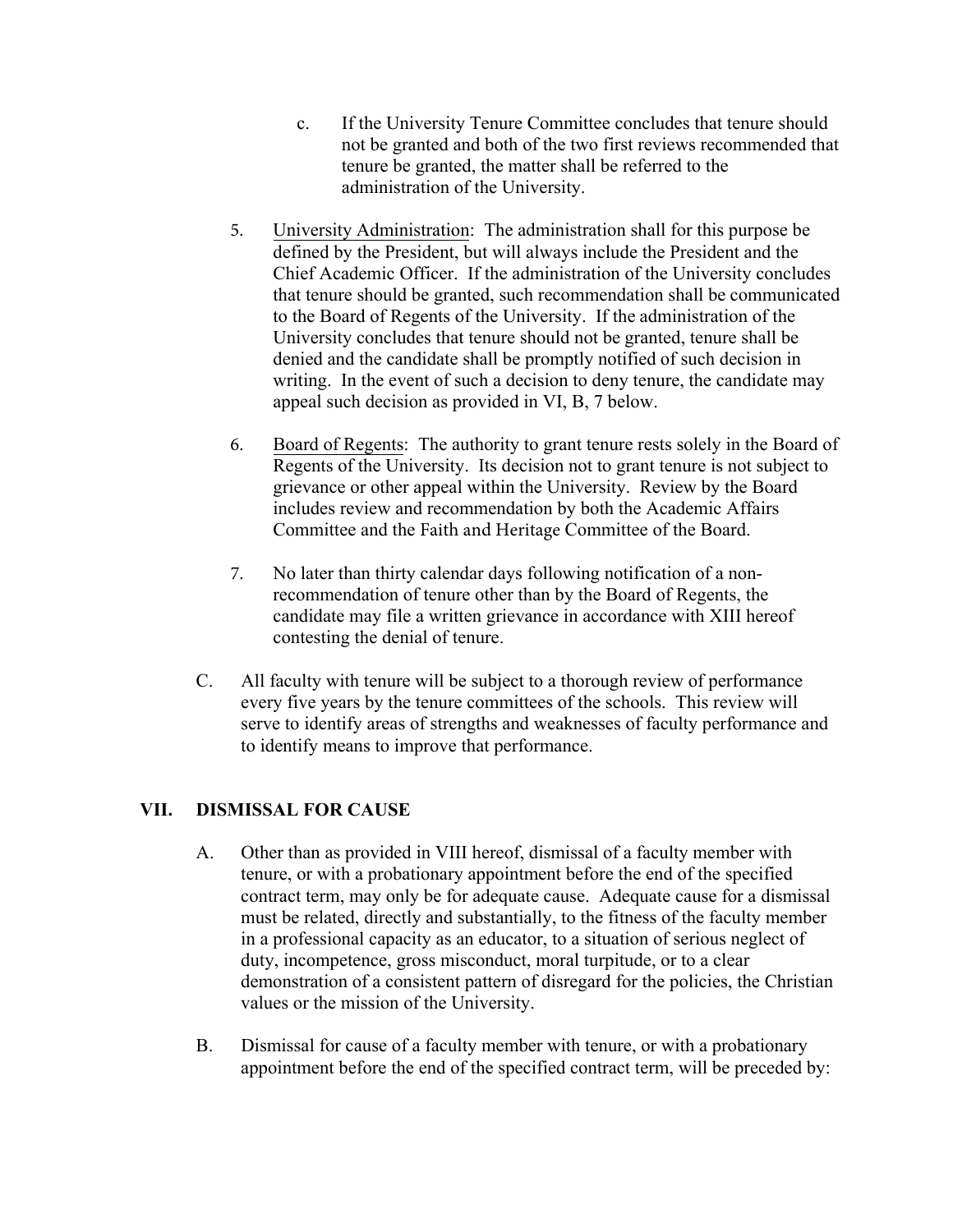- c. If the University Tenure Committee concludes that tenure should not be granted and both of the two first reviews recommended that tenure be granted, the matter shall be referred to the administration of the University.
- denied and the candidate shall be promptly notified of such decision in 5. University Administration: The administration shall for this purpose be defined by the President, but will always include the President and the Chief Academic Officer. If the administration of the University concludes that tenure should be granted, such recommendation shall be communicated to the Board of Regents of the University. If the administration of the University concludes that tenure should not be granted, tenure shall be writing. In the event of such a decision to deny tenure, the candidate may appeal such decision as provided in VI, B, 7 below.
- 6. Board of Regents: The authority to grant tenure rests solely in the Board of Regents of the University. Its decision not to grant tenure is not subject to grievance or other appeal within the University. Review by the Board includes review and recommendation by both the Academic Affairs Committee and the Faith and Heritage Committee of the Board.
- 7. No later than thirty calendar days following notification of a nonrecommendation of tenure other than by the Board of Regents, the candidate may file a written grievance in accordance with XIII hereof contesting the denial of tenure.
- C. All faculty with tenure will be subject to a thorough review of performance every five years by the tenure committees of the schools. This review will serve to identify areas of strengths and weaknesses of faculty performance and to identify means to improve that performance.

### **VII. DISMISSAL FOR CAUSE**

- A. Other than as provided in VIII hereof, dismissal of a faculty member with tenure, or with a probationary appointment before the end of the specified contract term, may only be for adequate cause. Adequate cause for a dismissal must be related, directly and substantially, to the fitness of the faculty member in a professional capacity as an educator, to a situation of serious neglect of duty, incompetence, gross misconduct, moral turpitude, or to a clear demonstration of a consistent pattern of disregard for the policies, the Christian values or the mission of the University.
- B. Dismissal for cause of a faculty member with tenure, or with a probationary appointment before the end of the specified contract term, will be preceded by: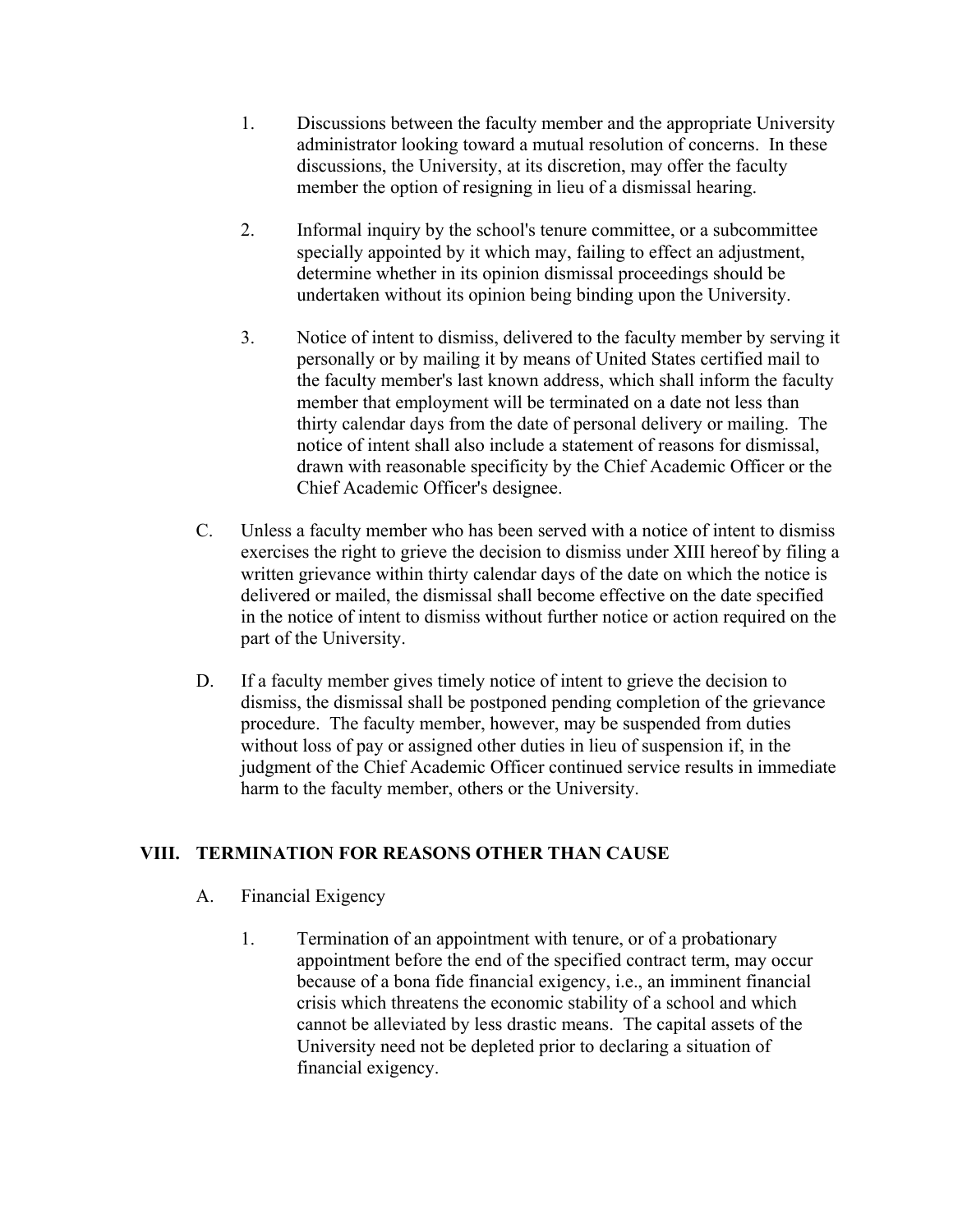- 1. Discussions between the faculty member and the appropriate University administrator looking toward a mutual resolution of concerns. In these discussions, the University, at its discretion, may offer the faculty member the option of resigning in lieu of a dismissal hearing.
- 2. Informal inquiry by the school's tenure committee, or a subcommittee specially appointed by it which may, failing to effect an adjustment, determine whether in its opinion dismissal proceedings should be undertaken without its opinion being binding upon the University.
- 3. Notice of intent to dismiss, delivered to the faculty member by serving it personally or by mailing it by means of United States certified mail to the faculty member's last known address, which shall inform the faculty member that employment will be terminated on a date not less than thirty calendar days from the date of personal delivery or mailing. The notice of intent shall also include a statement of reasons for dismissal, drawn with reasonable specificity by the Chief Academic Officer or the Chief Academic Officer's designee.
- C. Unless a faculty member who has been served with a notice of intent to dismiss exercises the right to grieve the decision to dismiss under XIII hereof by filing a written grievance within thirty calendar days of the date on which the notice is delivered or mailed, the dismissal shall become effective on the date specified in the notice of intent to dismiss without further notice or action required on the part of the University.
- D. If a faculty member gives timely notice of intent to grieve the decision to dismiss, the dismissal shall be postponed pending completion of the grievance procedure. The faculty member, however, may be suspended from duties without loss of pay or assigned other duties in lieu of suspension if, in the judgment of the Chief Academic Officer continued service results in immediate harm to the faculty member, others or the University.

# **VIII. TERMINATION FOR REASONS OTHER THAN CAUSE**

### A. Financial Exigency

1. Termination of an appointment with tenure, or of a probationary appointment before the end of the specified contract term, may occur because of a bona fide financial exigency, i.e., an imminent financial crisis which threatens the economic stability of a school and which cannot be alleviated by less drastic means. The capital assets of the University need not be depleted prior to declaring a situation of financial exigency.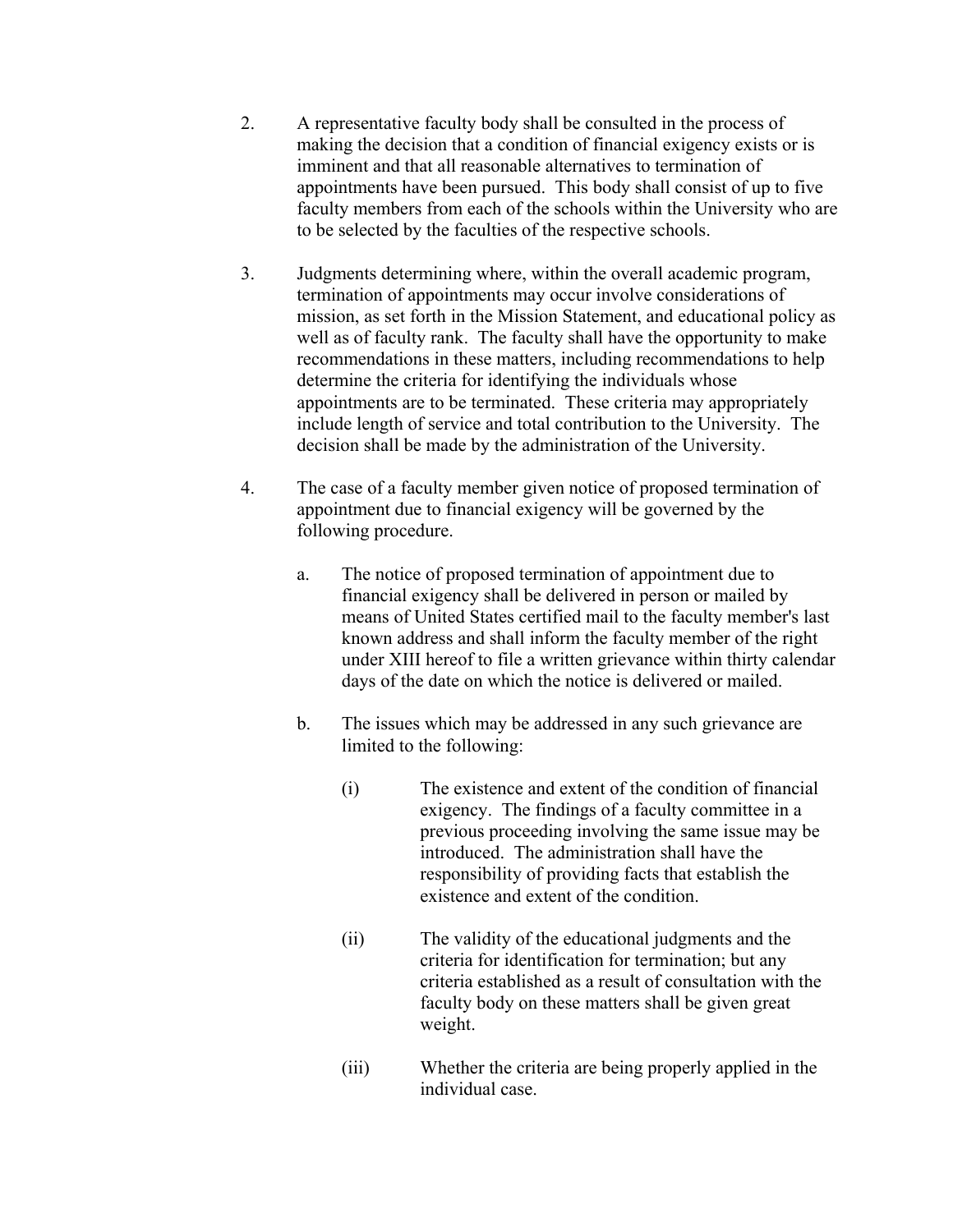- 2. A representative faculty body shall be consulted in the process of making the decision that a condition of financial exigency exists or is imminent and that all reasonable alternatives to termination of appointments have been pursued. This body shall consist of up to five faculty members from each of the schools within the University who are to be selected by the faculties of the respective schools.
- 3. Judgments determining where, within the overall academic program, termination of appointments may occur involve considerations of mission, as set forth in the Mission Statement, and educational policy as well as of faculty rank. The faculty shall have the opportunity to make recommendations in these matters, including recommendations to help determine the criteria for identifying the individuals whose appointments are to be terminated. These criteria may appropriately include length of service and total contribution to the University. The decision shall be made by the administration of the University.
- 4. The case of a faculty member given notice of proposed termination of appointment due to financial exigency will be governed by the following procedure.
	- a. The notice of proposed termination of appointment due to financial exigency shall be delivered in person or mailed by means of United States certified mail to the faculty member's last known address and shall inform the faculty member of the right under XIII hereof to file a written grievance within thirty calendar days of the date on which the notice is delivered or mailed.
	- b. The issues which may be addressed in any such grievance are limited to the following:
		- (i) The existence and extent of the condition of financial exigency. The findings of a faculty committee in a previous proceeding involving the same issue may be introduced. The administration shall have the responsibility of providing facts that establish the existence and extent of the condition.
		- (ii) The validity of the educational judgments and the criteria for identification for termination; but any criteria established as a result of consultation with the faculty body on these matters shall be given great weight.
		- (iii) Whether the criteria are being properly applied in the individual case.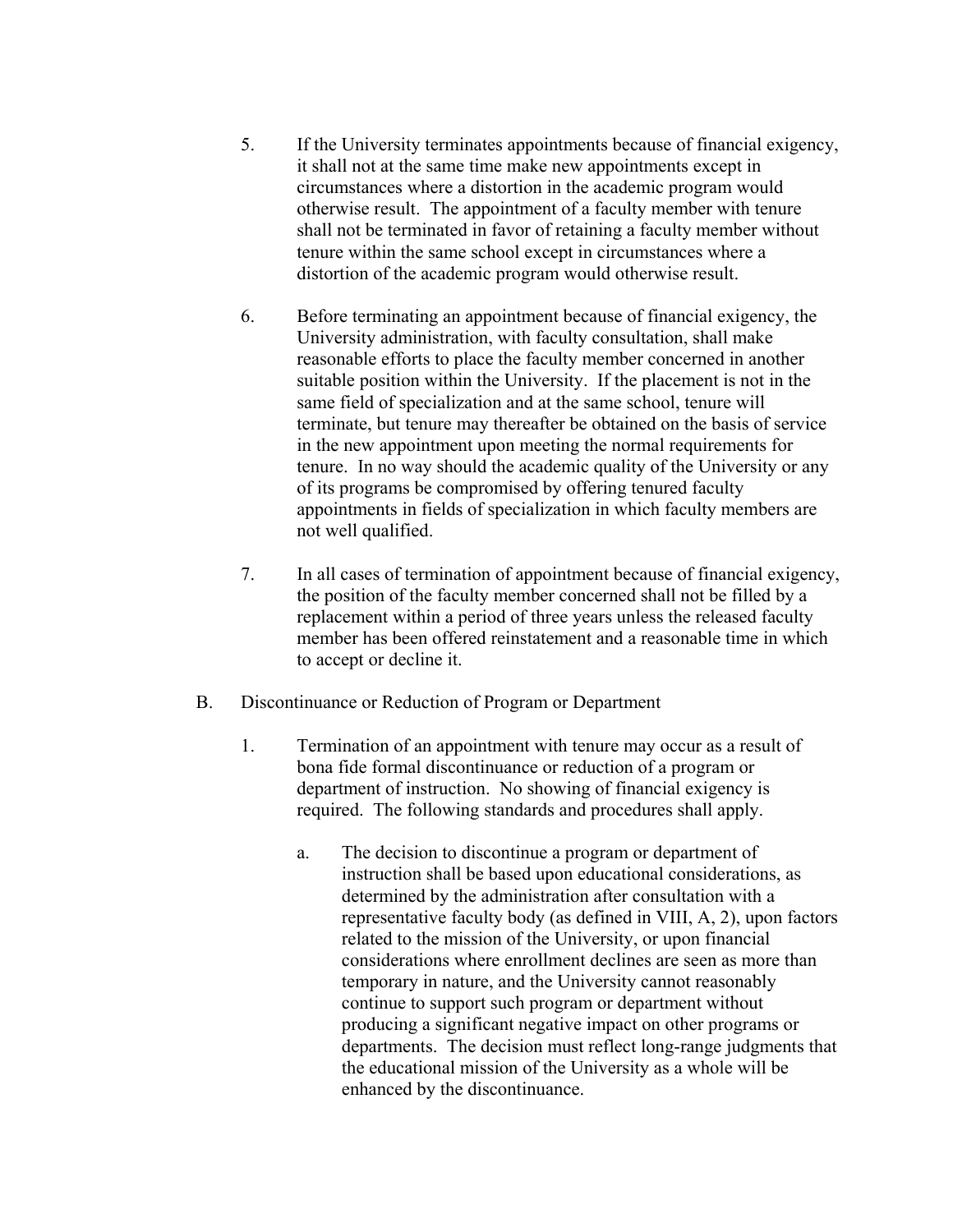- 5. If the University terminates appointments because of financial exigency, it shall not at the same time make new appointments except in circumstances where a distortion in the academic program would otherwise result. The appointment of a faculty member with tenure shall not be terminated in favor of retaining a faculty member without tenure within the same school except in circumstances where a distortion of the academic program would otherwise result.
- 6. Before terminating an appointment because of financial exigency, the University administration, with faculty consultation, shall make reasonable efforts to place the faculty member concerned in another suitable position within the University. If the placement is not in the same field of specialization and at the same school, tenure will terminate, but tenure may thereafter be obtained on the basis of service in the new appointment upon meeting the normal requirements for tenure. In no way should the academic quality of the University or any of its programs be compromised by offering tenured faculty appointments in fields of specialization in which faculty members are not well qualified.
- 7. In all cases of termination of appointment because of financial exigency, the position of the faculty member concerned shall not be filled by a replacement within a period of three years unless the released faculty member has been offered reinstatement and a reasonable time in which to accept or decline it.
- B. Discontinuance or Reduction of Program or Department
	- 1. Termination of an appointment with tenure may occur as a result of bona fide formal discontinuance or reduction of a program or department of instruction. No showing of financial exigency is required. The following standards and procedures shall apply.
		- a. The decision to discontinue a program or department of instruction shall be based upon educational considerations, as determined by the administration after consultation with a representative faculty body (as defined in VIII, A, 2), upon factors related to the mission of the University, or upon financial considerations where enrollment declines are seen as more than temporary in nature, and the University cannot reasonably continue to support such program or department without producing a significant negative impact on other programs or departments. The decision must reflect long-range judgments that the educational mission of the University as a whole will be enhanced by the discontinuance.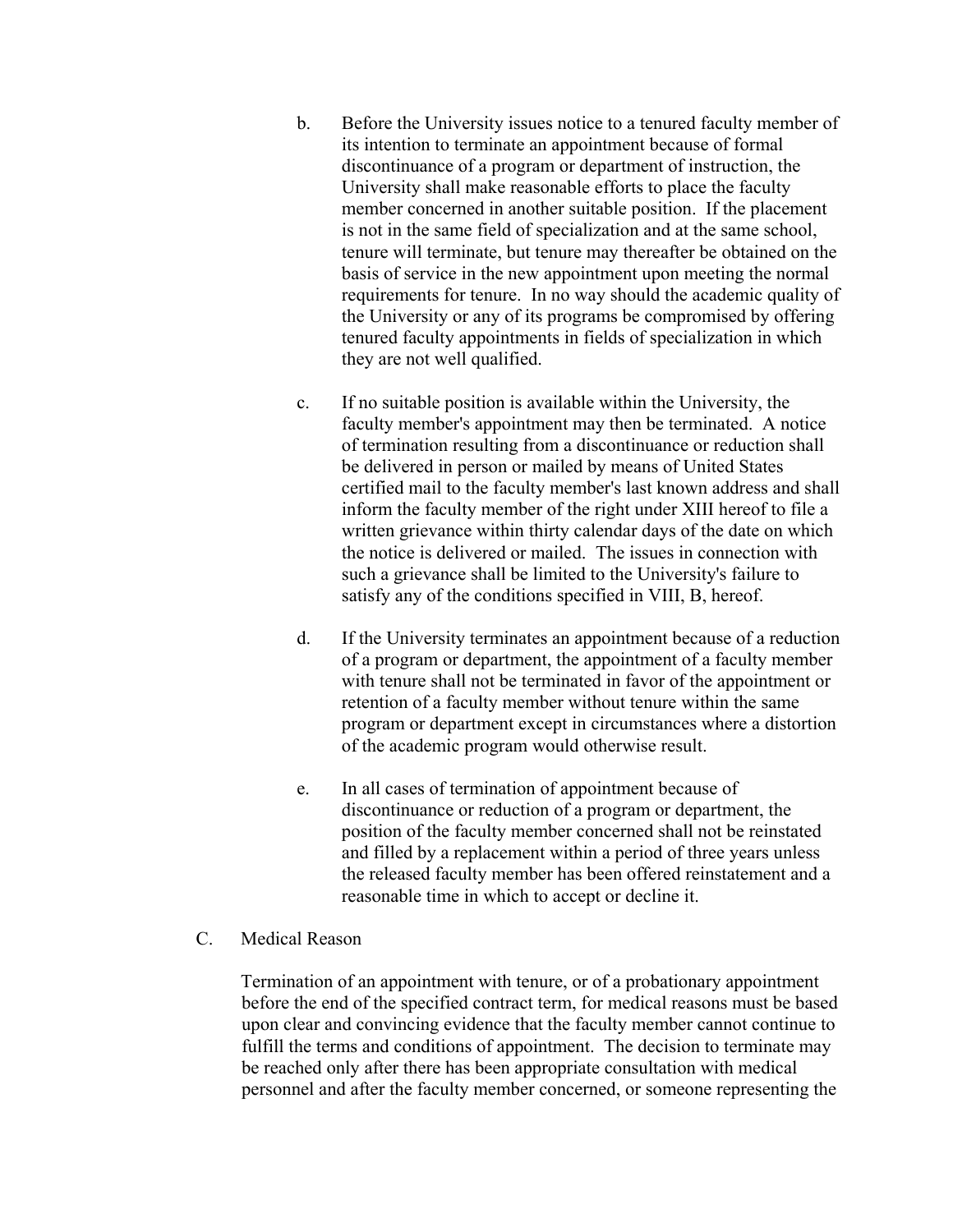- b. Before the University issues notice to a tenured faculty member of its intention to terminate an appointment because of formal discontinuance of a program or department of instruction, the University shall make reasonable efforts to place the faculty member concerned in another suitable position. If the placement is not in the same field of specialization and at the same school, tenure will terminate, but tenure may thereafter be obtained on the basis of service in the new appointment upon meeting the normal requirements for tenure. In no way should the academic quality of the University or any of its programs be compromised by offering tenured faculty appointments in fields of specialization in which they are not well qualified.
- c. If no suitable position is available within the University, the faculty member's appointment may then be terminated. A notice of termination resulting from a discontinuance or reduction shall be delivered in person or mailed by means of United States certified mail to the faculty member's last known address and shall inform the faculty member of the right under XIII hereof to file a written grievance within thirty calendar days of the date on which the notice is delivered or mailed. The issues in connection with such a grievance shall be limited to the University's failure to satisfy any of the conditions specified in VIII, B, hereof.
- d. If the University terminates an appointment because of a reduction of a program or department, the appointment of a faculty member with tenure shall not be terminated in favor of the appointment or retention of a faculty member without tenure within the same program or department except in circumstances where a distortion of the academic program would otherwise result.
- e. In all cases of termination of appointment because of discontinuance or reduction of a program or department, the position of the faculty member concerned shall not be reinstated and filled by a replacement within a period of three years unless the released faculty member has been offered reinstatement and a reasonable time in which to accept or decline it.

#### C. Medical Reason

Termination of an appointment with tenure, or of a probationary appointment before the end of the specified contract term, for medical reasons must be based upon clear and convincing evidence that the faculty member cannot continue to fulfill the terms and conditions of appointment. The decision to terminate may be reached only after there has been appropriate consultation with medical personnel and after the faculty member concerned, or someone representing the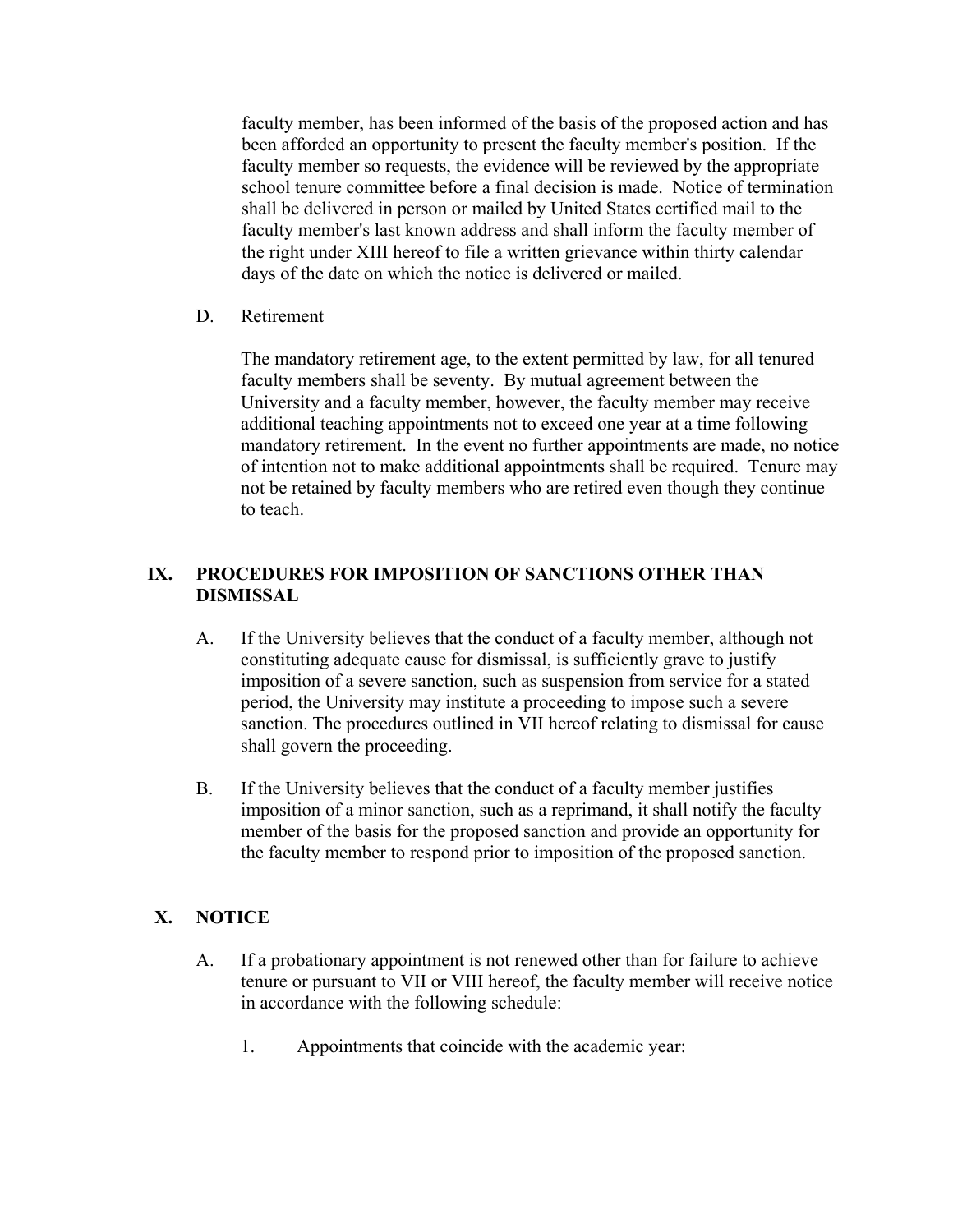faculty member, has been informed of the basis of the proposed action and has been afforded an opportunity to present the faculty member's position. If the faculty member so requests, the evidence will be reviewed by the appropriate school tenure committee before a final decision is made. Notice of termination shall be delivered in person or mailed by United States certified mail to the faculty member's last known address and shall inform the faculty member of the right under XIII hereof to file a written grievance within thirty calendar days of the date on which the notice is delivered or mailed.

D. Retirement

The mandatory retirement age, to the extent permitted by law, for all tenured faculty members shall be seventy. By mutual agreement between the University and a faculty member, however, the faculty member may receive additional teaching appointments not to exceed one year at a time following mandatory retirement. In the event no further appointments are made, no notice of intention not to make additional appointments shall be required. Tenure may not be retained by faculty members who are retired even though they continue to teach.

### **IX. PROCEDURES FOR IMPOSITION OF SANCTIONS OTHER THAN DISMISSAL**

- A. If the University believes that the conduct of a faculty member, although not constituting adequate cause for dismissal, is sufficiently grave to justify imposition of a severe sanction, such as suspension from service for a stated period, the University may institute a proceeding to impose such a severe sanction. The procedures outlined in VII hereof relating to dismissal for cause shall govern the proceeding.
- B. If the University believes that the conduct of a faculty member justifies imposition of a minor sanction, such as a reprimand, it shall notify the faculty member of the basis for the proposed sanction and provide an opportunity for the faculty member to respond prior to imposition of the proposed sanction.

# **X. NOTICE**

- A. If a probationary appointment is not renewed other than for failure to achieve tenure or pursuant to VII or VIII hereof, the faculty member will receive notice in accordance with the following schedule:
	- 1. Appointments that coincide with the academic year: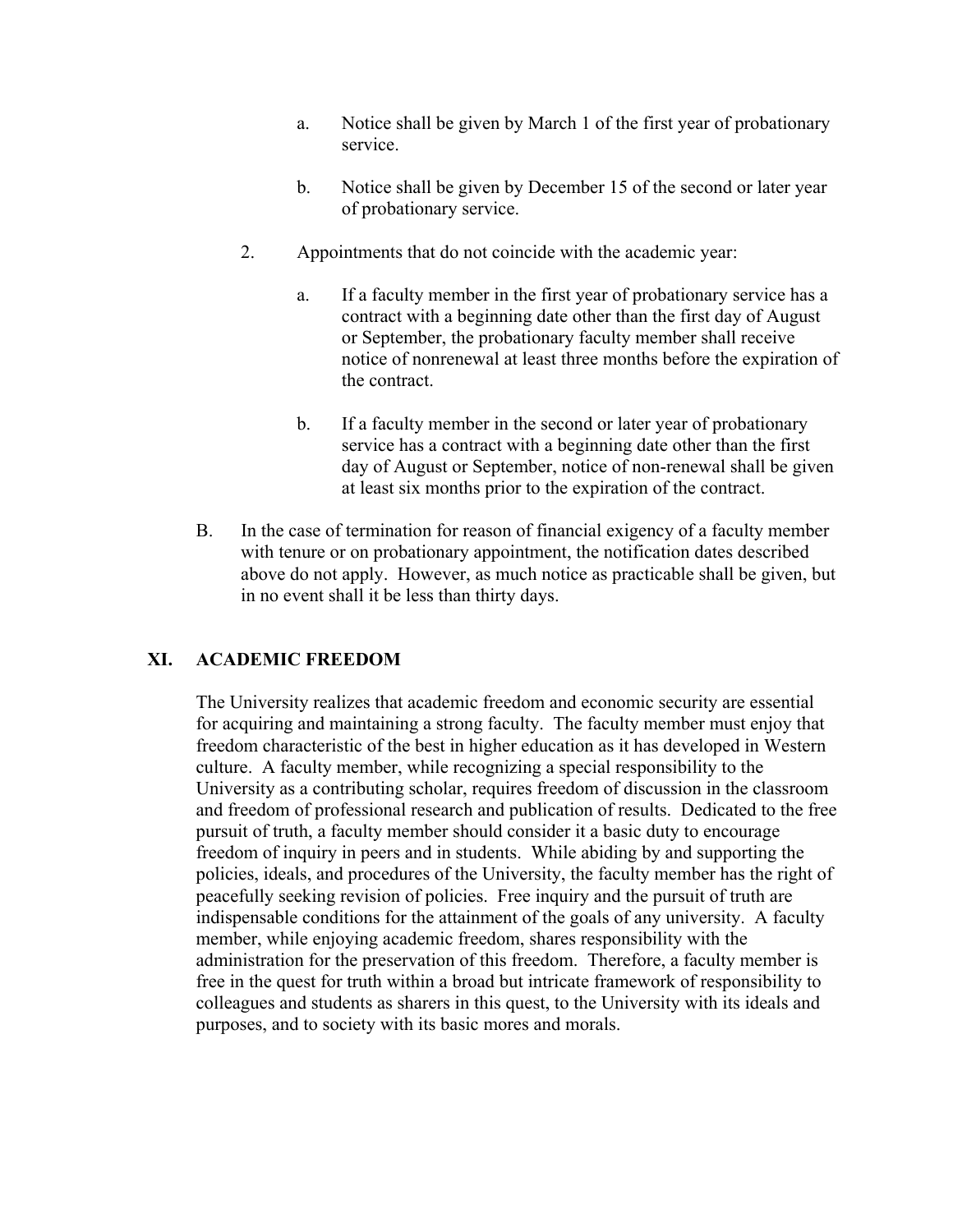- a. Notice shall be given by March 1 of the first year of probationary service.
- b. Notice shall be given by December 15 of the second or later year of probationary service.
- 2. Appointments that do not coincide with the academic year:
	- a. If a faculty member in the first year of probationary service has a contract with a beginning date other than the first day of August or September, the probationary faculty member shall receive notice of nonrenewal at least three months before the expiration of the contract.
	- b. If a faculty member in the second or later year of probationary service has a contract with a beginning date other than the first day of August or September, notice of non-renewal shall be given at least six months prior to the expiration of the contract.
- B. In the case of termination for reason of financial exigency of a faculty member with tenure or on probationary appointment, the notification dates described above do not apply. However, as much notice as practicable shall be given, but in no event shall it be less than thirty days.

### **XI. ACADEMIC FREEDOM**

The University realizes that academic freedom and economic security are essential for acquiring and maintaining a strong faculty. The faculty member must enjoy that freedom characteristic of the best in higher education as it has developed in Western culture. A faculty member, while recognizing a special responsibility to the University as a contributing scholar, requires freedom of discussion in the classroom and freedom of professional research and publication of results. Dedicated to the free pursuit of truth, a faculty member should consider it a basic duty to encourage freedom of inquiry in peers and in students. While abiding by and supporting the policies, ideals, and procedures of the University, the faculty member has the right of peacefully seeking revision of policies. Free inquiry and the pursuit of truth are indispensable conditions for the attainment of the goals of any university. A faculty member, while enjoying academic freedom, shares responsibility with the administration for the preservation of this freedom. Therefore, a faculty member is free in the quest for truth within a broad but intricate framework of responsibility to colleagues and students as sharers in this quest, to the University with its ideals and purposes, and to society with its basic mores and morals.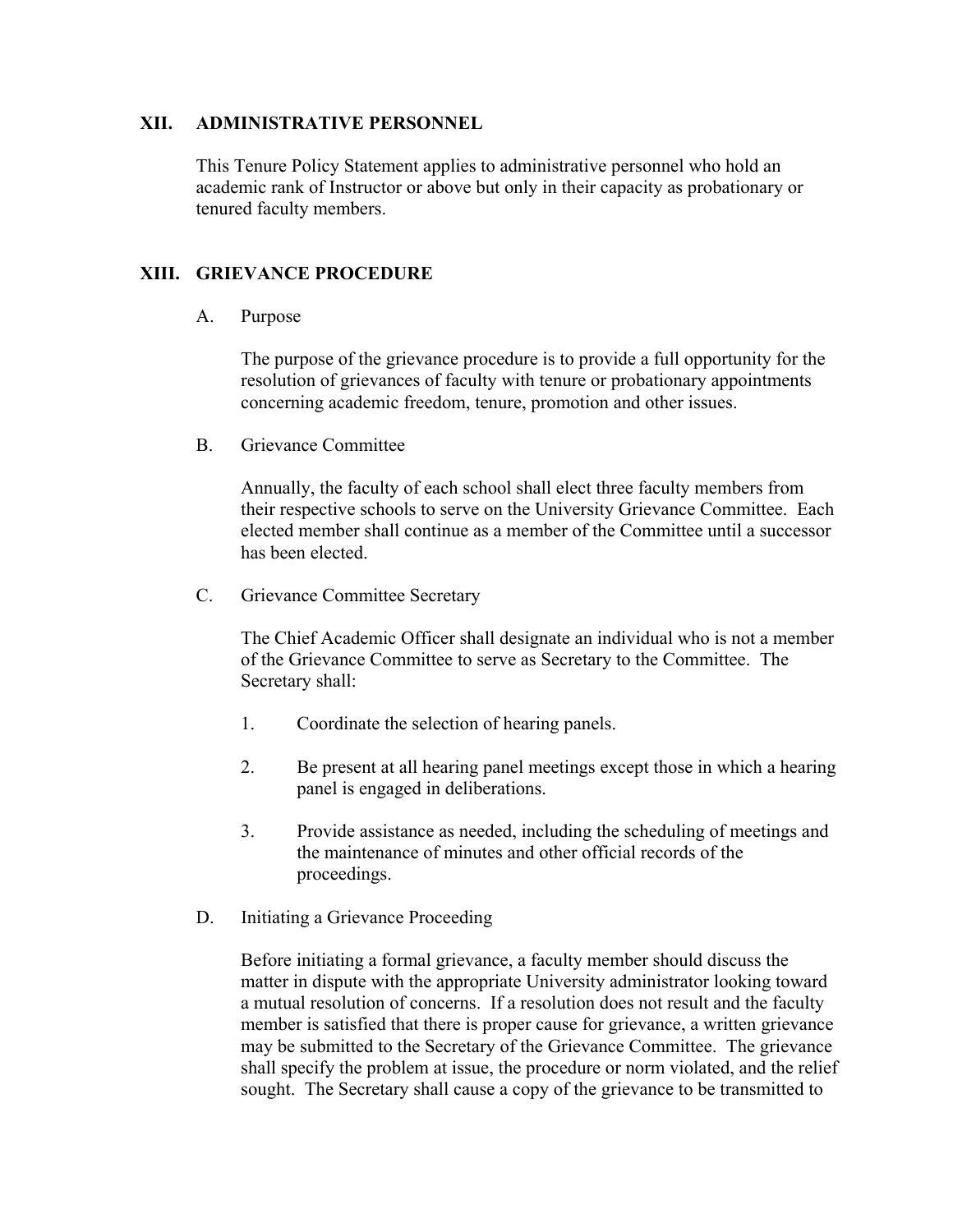#### **XII. ADMINISTRATIVE PERSONNEL**

This Tenure Policy Statement applies to administrative personnel who hold an academic rank of Instructor or above but only in their capacity as probationary or tenured faculty members.

#### **XIII. GRIEVANCE PROCEDURE**

#### A. Purpose

The purpose of the grievance procedure is to provide a full opportunity for the resolution of grievances of faculty with tenure or probationary appointments concerning academic freedom, tenure, promotion and other issues.

B. Grievance Committee

Annually, the faculty of each school shall elect three faculty members from their respective schools to serve on the University Grievance Committee. Each elected member shall continue as a member of the Committee until a successor has been elected.

C. Grievance Committee Secretary

The Chief Academic Officer shall designate an individual who is not a member of the Grievance Committee to serve as Secretary to the Committee. The Secretary shall:

- 1. Coordinate the selection of hearing panels.
- 2. Be present at all hearing panel meetings except those in which a hearing panel is engaged in deliberations.
- proceedings. 3. Provide assistance as needed, including the scheduling of meetings and the maintenance of minutes and other official records of the
- D. Initiating a Grievance Proceeding.

Before initiating a formal grievance, a faculty member should discuss the matter in dispute with the appropriate University administrator looking toward a mutual resolution of concerns. If a resolution does not result and the faculty member is satisfied that there is proper cause for grievance, a written grievance may be submitted to the Secretary of the Grievance Committee. The grievance shall specify the problem at issue, the procedure or norm violated, and the relief sought. The Secretary shall cause a copy of the grievance to be transmitted to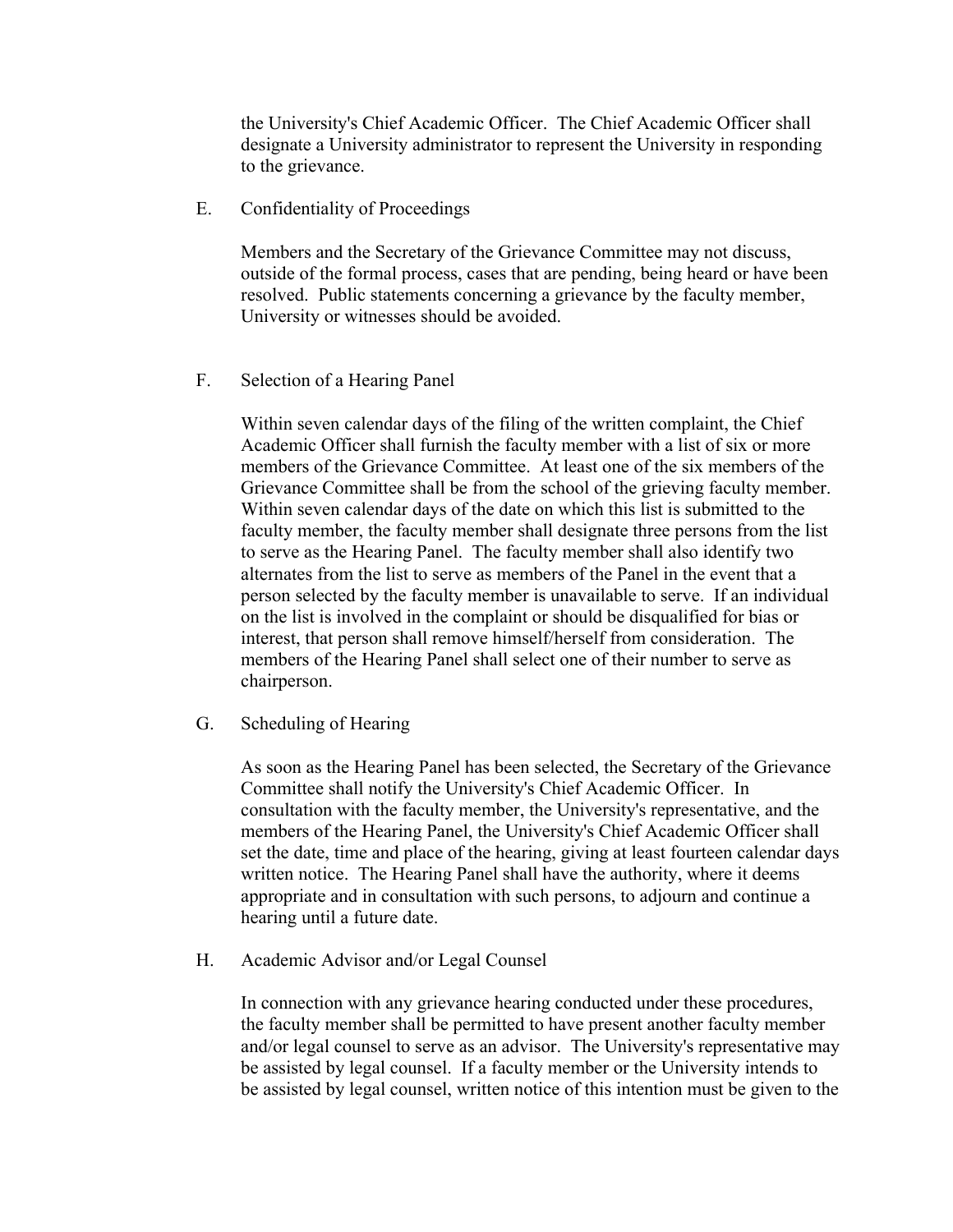the University's Chief Academic Officer. The Chief Academic Officer shall designate a University administrator to represent the University in responding to the grievance.

E. Confidentiality of Proceedings

Members and the Secretary of the Grievance Committee may not discuss, outside of the formal process, cases that are pending, being heard or have been resolved. Public statements concerning a grievance by the faculty member, University or witnesses should be avoided.

F. Selection of a Hearing Panel

chairperson. Within seven calendar days of the filing of the written complaint, the Chief Academic Officer shall furnish the faculty member with a list of six or more members of the Grievance Committee. At least one of the six members of the Grievance Committee shall be from the school of the grieving faculty member. Within seven calendar days of the date on which this list is submitted to the faculty member, the faculty member shall designate three persons from the list to serve as the Hearing Panel. The faculty member shall also identify two alternates from the list to serve as members of the Panel in the event that a person selected by the faculty member is unavailable to serve. If an individual on the list is involved in the complaint or should be disqualified for bias or interest, that person shall remove himself/herself from consideration. The members of the Hearing Panel shall select one of their number to serve as

G. Scheduling of Hearing.

As soon as the Hearing Panel has been selected, the Secretary of the Grievance Committee shall notify the University's Chief Academic Officer. In consultation with the faculty member, the University's representative, and the members of the Hearing Panel, the University's Chief Academic Officer shall set the date, time and place of the hearing, giving at least fourteen calendar days written notice. The Hearing Panel shall have the authority, where it deems appropriate and in consultation with such persons, to adjourn and continue a hearing until a future date.

H. Academic Advisor and/or Legal Counsel

In connection with any grievance hearing conducted under these procedures, the faculty member shall be permitted to have present another faculty member and/or legal counsel to serve as an advisor. The University's representative may be assisted by legal counsel. If a faculty member or the University intends to be assisted by legal counsel, written notice of this intention must be given to the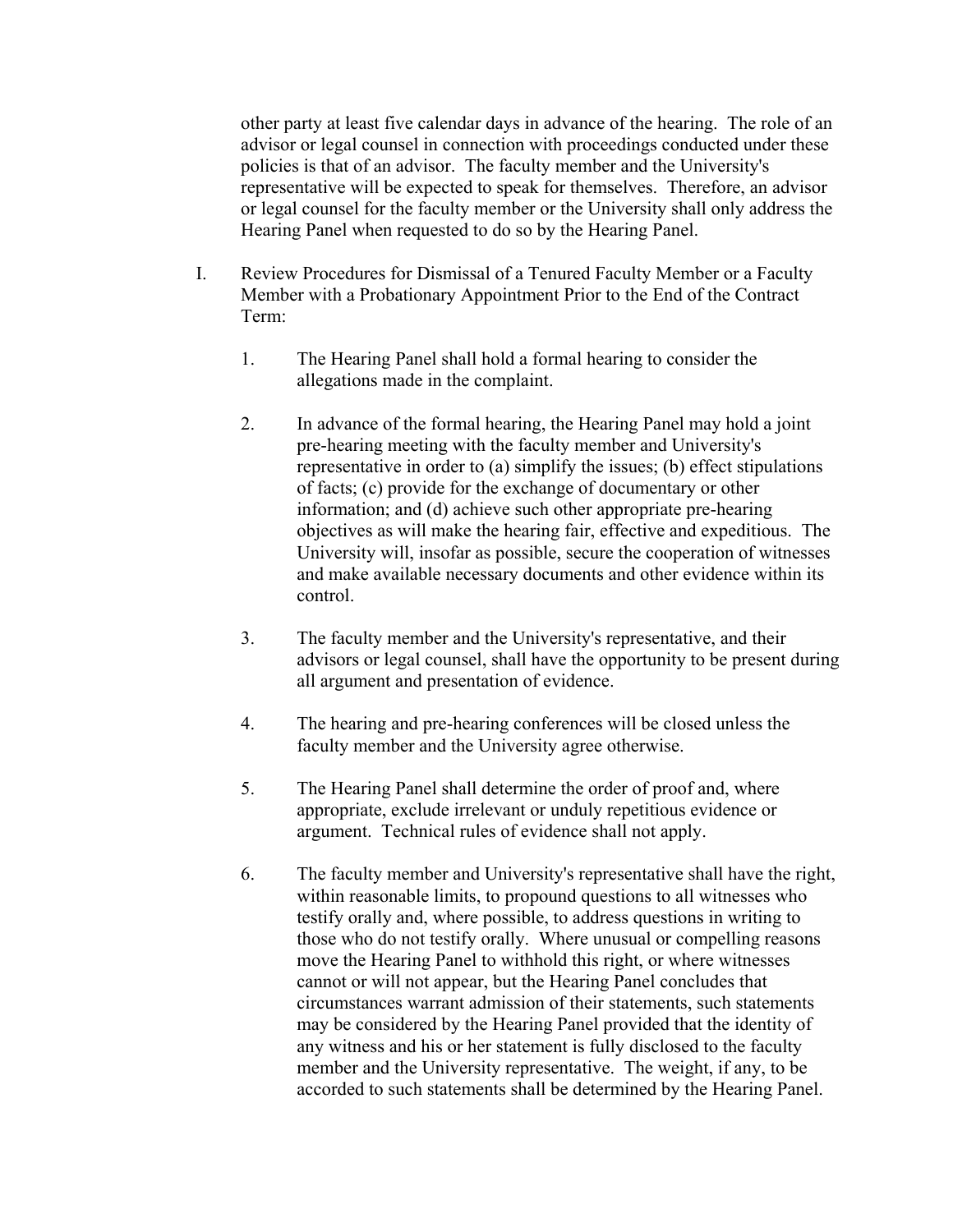other party at least five calendar days in advance of the hearing. The role of an advisor or legal counsel in connection with proceedings conducted under these policies is that of an advisor. The faculty member and the University's representative will be expected to speak for themselves. Therefore, an advisor or legal counsel for the faculty member or the University shall only address the Hearing Panel when requested to do so by the Hearing Panel.

- I. Review Procedures for Dismissal of a Tenured Faculty Member or a Faculty Member with a Probationary Appointment Prior to the End of the Contract Term:
	- 1. The Hearing Panel shall hold a formal hearing to consider the allegations made in the complaint.
	- 2. In advance of the formal hearing, the Hearing Panel may hold a joint pre-hearing meeting with the faculty member and University's representative in order to (a) simplify the issues; (b) effect stipulations of facts; (c) provide for the exchange of documentary or other information; and (d) achieve such other appropriate pre-hearing objectives as will make the hearing fair, effective and expeditious. The University will, insofar as possible, secure the cooperation of witnesses and make available necessary documents and other evidence within its control.
	- 3. The faculty member and the University's representative, and their advisors or legal counsel, shall have the opportunity to be present during all argument and presentation of evidence.
	- 4. The hearing and pre-hearing conferences will be closed unless the faculty member and the University agree otherwise.
	- 5. The Hearing Panel shall determine the order of proof and, where appropriate, exclude irrelevant or unduly repetitious evidence or argument. Technical rules of evidence shall not apply.
	- 6. The faculty member and University's representative shall have the right, within reasonable limits, to propound questions to all witnesses who testify orally and, where possible, to address questions in writing to those who do not testify orally. Where unusual or compelling reasons move the Hearing Panel to withhold this right, or where witnesses cannot or will not appear, but the Hearing Panel concludes that circumstances warrant admission of their statements, such statements may be considered by the Hearing Panel provided that the identity of any witness and his or her statement is fully disclosed to the faculty member and the University representative. The weight, if any, to be accorded to such statements shall be determined by the Hearing Panel.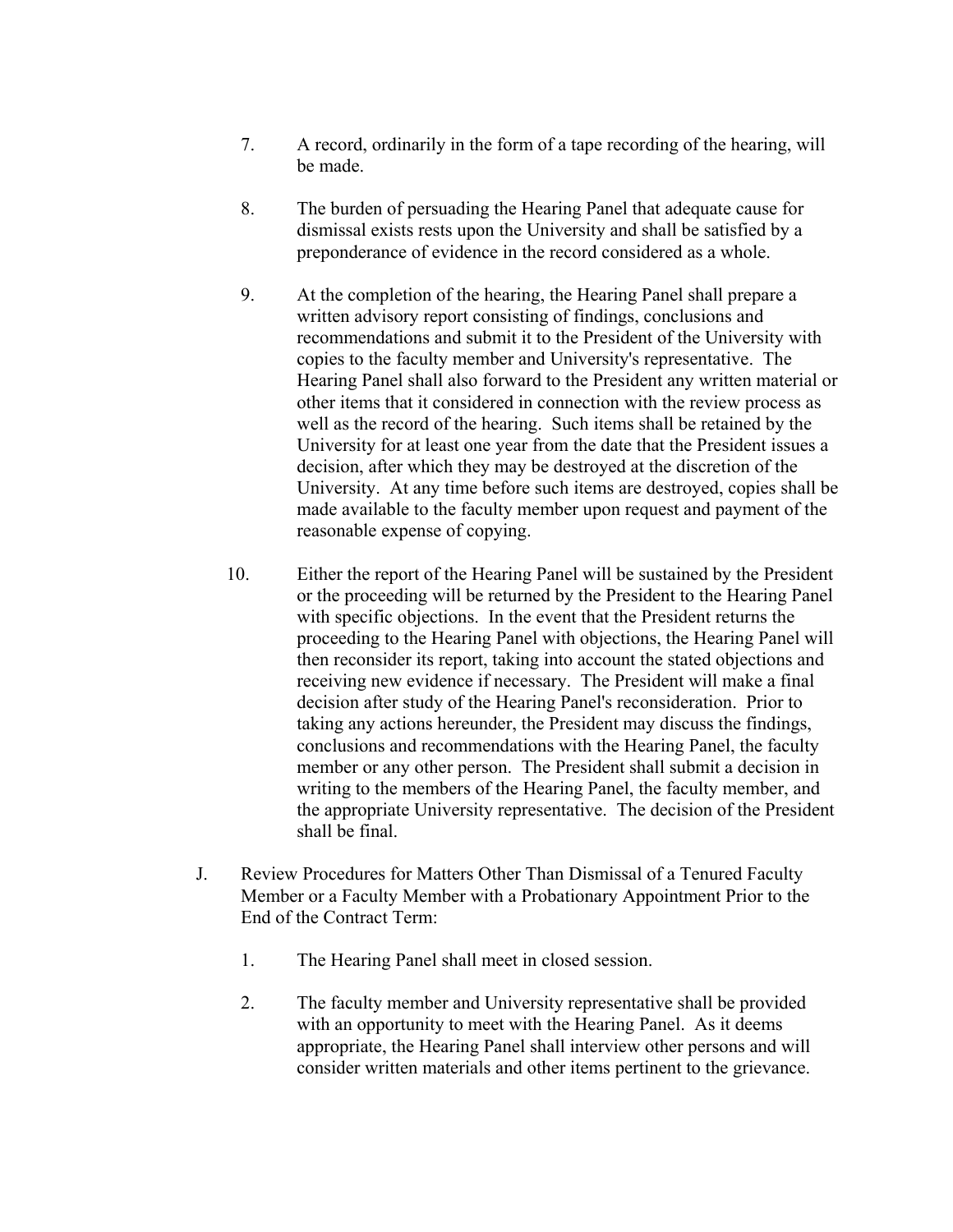- 7. A record, ordinarily in the form of a tape recording of the hearing, will be made.
- 8. The burden of persuading the Hearing Panel that adequate cause for dismissal exists rests upon the University and shall be satisfied by a preponderance of evidence in the record considered as a whole.
- 9. At the completion of the hearing, the Hearing Panel shall prepare a written advisory report consisting of findings, conclusions and recommendations and submit it to the President of the University with copies to the faculty member and University's representative. The Hearing Panel shall also forward to the President any written material or other items that it considered in connection with the review process as well as the record of the hearing. Such items shall be retained by the University for at least one year from the date that the President issues a decision, after which they may be destroyed at the discretion of the University. At any time before such items are destroyed, copies shall be made available to the faculty member upon request and payment of the reasonable expense of copying.
- 10. Either the report of the Hearing Panel will be sustained by the President or the proceeding will be returned by the President to the Hearing Panel with specific objections. In the event that the President returns the proceeding to the Hearing Panel with objections, the Hearing Panel will then reconsider its report, taking into account the stated objections and receiving new evidence if necessary. The President will make a final decision after study of the Hearing Panel's reconsideration. Prior to taking any actions hereunder, the President may discuss the findings, conclusions and recommendations with the Hearing Panel, the faculty member or any other person. The President shall submit a decision in writing to the members of the Hearing Panel, the faculty member, and the appropriate University representative. The decision of the President shall be final.
- J. Review Procedures for Matters Other Than Dismissal of a Tenured Faculty Member or a Faculty Member with a Probationary Appointment Prior to the End of the Contract Term:
	- 1. The Hearing Panel shall meet in closed session.
	- 2. The faculty member and University representative shall be provided with an opportunity to meet with the Hearing Panel. As it deems appropriate, the Hearing Panel shall interview other persons and will consider written materials and other items pertinent to the grievance.